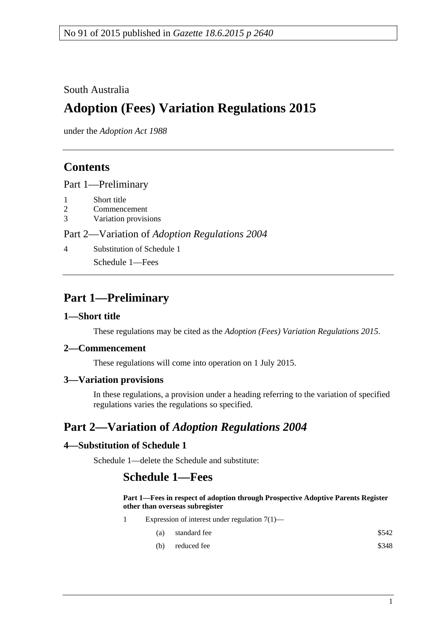### South Australia

# **Adoption (Fees) Variation Regulations 2015**

under the *Adoption Act 1988*

### **Contents**

Part [1—Preliminary](#page-0-0)

- 1 [Short title](#page-0-1)
- 2 [Commencement](#page-0-2)
- 3 [Variation provisions](#page-0-3)

#### Part 2—Variation of *[Adoption Regulations](#page-0-4) 2004*

4 [Substitution of Schedule](#page-0-5) 1

Schedule 1—Fees

## <span id="page-0-0"></span>**Part 1—Preliminary**

#### <span id="page-0-1"></span>**1—Short title**

These regulations may be cited as the *Adoption (Fees) Variation Regulations 2015*.

#### <span id="page-0-2"></span>**2—Commencement**

These regulations will come into operation on 1 July 2015.

### <span id="page-0-3"></span>**3—Variation provisions**

In these regulations, a provision under a heading referring to the variation of specified regulations varies the regulations so specified.

## <span id="page-0-4"></span>**Part 2—Variation of** *Adoption Regulations 2004*

### <span id="page-0-5"></span>**4—Substitution of Schedule 1**

Schedule 1—delete the Schedule and substitute:

### **Schedule 1—Fees**

#### **Part 1—Fees in respect of adoption through Prospective Adoptive Parents Register other than overseas subregister**

- 1 Expression of interest under regulation 7(1)—
	- (a) standard fee  $\$542$
	- $(b)$  reduced fee  $$348$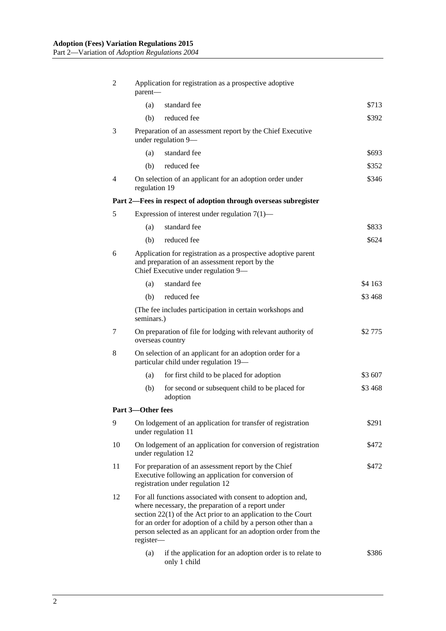| 2                                                               | Application for registration as a prospective adoptive<br>parent-                                                                                                                                                                                                                                                                   |                                                                                               |         |
|-----------------------------------------------------------------|-------------------------------------------------------------------------------------------------------------------------------------------------------------------------------------------------------------------------------------------------------------------------------------------------------------------------------------|-----------------------------------------------------------------------------------------------|---------|
|                                                                 | (a)                                                                                                                                                                                                                                                                                                                                 | standard fee                                                                                  | \$713   |
|                                                                 | (b)                                                                                                                                                                                                                                                                                                                                 | reduced fee                                                                                   | \$392   |
| 3                                                               |                                                                                                                                                                                                                                                                                                                                     | Preparation of an assessment report by the Chief Executive<br>under regulation 9-             |         |
|                                                                 | (a)                                                                                                                                                                                                                                                                                                                                 | standard fee                                                                                  | \$693   |
|                                                                 | (b)                                                                                                                                                                                                                                                                                                                                 | reduced fee                                                                                   | \$352   |
| $\overline{4}$                                                  | On selection of an applicant for an adoption order under<br>regulation 19                                                                                                                                                                                                                                                           |                                                                                               | \$346   |
| Part 2—Fees in respect of adoption through overseas subregister |                                                                                                                                                                                                                                                                                                                                     |                                                                                               |         |
| 5                                                               | Expression of interest under regulation $7(1)$ —                                                                                                                                                                                                                                                                                    |                                                                                               |         |
|                                                                 | (a)                                                                                                                                                                                                                                                                                                                                 | standard fee                                                                                  | \$833   |
|                                                                 | (b)                                                                                                                                                                                                                                                                                                                                 | reduced fee                                                                                   | \$624   |
| 6                                                               | Application for registration as a prospective adoptive parent<br>and preparation of an assessment report by the<br>Chief Executive under regulation 9-                                                                                                                                                                              |                                                                                               |         |
|                                                                 | (a)                                                                                                                                                                                                                                                                                                                                 | standard fee                                                                                  | \$4 163 |
|                                                                 | (b)                                                                                                                                                                                                                                                                                                                                 | reduced fee                                                                                   | \$3468  |
|                                                                 | (The fee includes participation in certain workshops and<br>seminars.)                                                                                                                                                                                                                                                              |                                                                                               |         |
| 7                                                               | On preparation of file for lodging with relevant authority of<br>overseas country                                                                                                                                                                                                                                                   |                                                                                               | \$2 775 |
| 8                                                               | On selection of an applicant for an adoption order for a<br>particular child under regulation 19-                                                                                                                                                                                                                                   |                                                                                               |         |
|                                                                 | (a)                                                                                                                                                                                                                                                                                                                                 | for first child to be placed for adoption                                                     | \$3 607 |
|                                                                 | (b)                                                                                                                                                                                                                                                                                                                                 | for second or subsequent child to be placed for<br>adoption                                   | \$3468  |
|                                                                 | Part 3-Other fees                                                                                                                                                                                                                                                                                                                   |                                                                                               |         |
| 9                                                               |                                                                                                                                                                                                                                                                                                                                     | On lodgement of an application for transfer of registration<br>under regulation 11            | \$291   |
| 10                                                              |                                                                                                                                                                                                                                                                                                                                     | On lodgement of an application for conversion of registration<br>\$472<br>under regulation 12 |         |
| 11                                                              | For preparation of an assessment report by the Chief<br>\$472<br>Executive following an application for conversion of<br>registration under regulation 12                                                                                                                                                                           |                                                                                               |         |
| 12                                                              | For all functions associated with consent to adoption and,<br>where necessary, the preparation of a report under<br>section $22(1)$ of the Act prior to an application to the Court<br>for an order for adoption of a child by a person other than a<br>person selected as an applicant for an adoption order from the<br>register- |                                                                                               |         |
|                                                                 | (a)                                                                                                                                                                                                                                                                                                                                 | if the application for an adoption order is to relate to<br>only 1 child                      | \$386   |